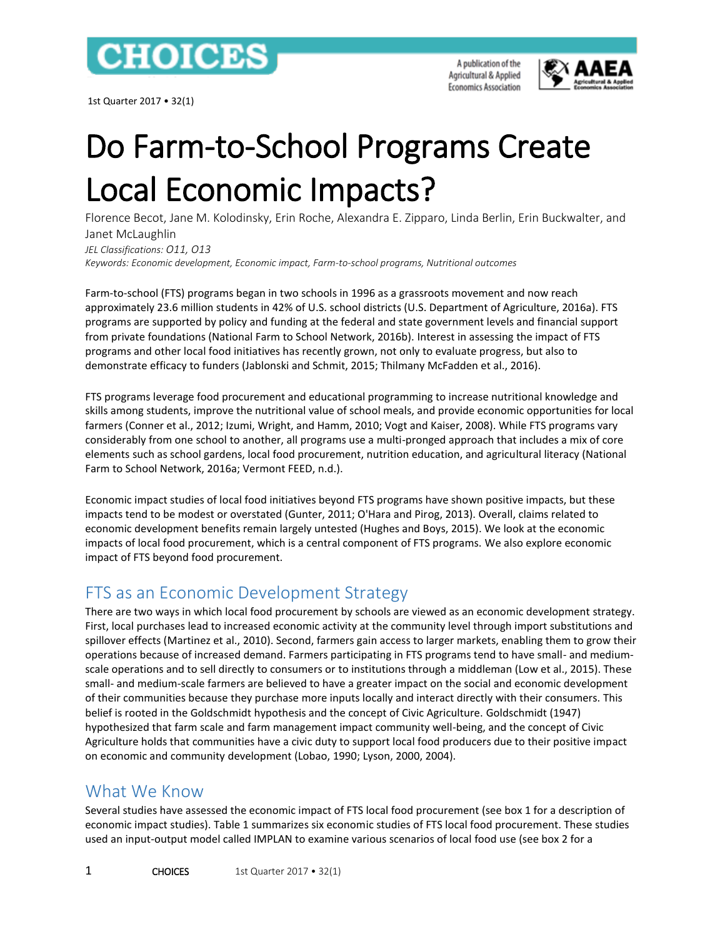

1st Quarter 2017 • 32(1)

A publication of the Agricultural & Applied **Economics Association** 



# Do Farm-to-School Programs Create Local Economic Impacts?

Florence Becot, Jane M. Kolodinsky, Erin Roche, Alexandra E. Zipparo, Linda Berlin, Erin Buckwalter, and Janet McLaughlin *JEL Classifications: O11, O13 Keywords: Economic development, Economic impact, Farm-to-school programs, Nutritional outcomes*

Farm-to-school (FTS) programs began in two schools in 1996 as a grassroots movement and now reach approximately 23.6 million students in 42% of U.S. school districts (U.S. Department of Agriculture, 2016a). FTS programs are supported by policy and funding at the federal and state government levels and financial support from private foundations (National Farm to School Network, 2016b). Interest in assessing the impact of FTS programs and other local food initiatives has recently grown, not only to evaluate progress, but also to demonstrate efficacy to funders (Jablonski and Schmit, 2015; Thilmany McFadden et al., 2016).

FTS programs leverage food procurement and educational programming to increase nutritional knowledge and skills among students, improve the nutritional value of school meals, and provide economic opportunities for local farmers (Conner et al., 2012; Izumi, Wright, and Hamm, 2010; Vogt and Kaiser, 2008). While FTS programs vary considerably from one school to another, all programs use a multi-pronged approach that includes a mix of core elements such as school gardens, local food procurement, nutrition education, and agricultural literacy (National Farm to School Network, 2016a; Vermont FEED, n.d.).

Economic impact studies of local food initiatives beyond FTS programs have shown positive impacts, but these impacts tend to be modest or overstated (Gunter, 2011; O'Hara and Pirog, 2013). Overall, claims related to economic development benefits remain largely untested (Hughes and Boys, 2015). We look at the economic impacts of local food procurement, which is a central component of FTS programs. We also explore economic impact of FTS beyond food procurement.

# FTS as an Economic Development Strategy

There are two ways in which local food procurement by schools are viewed as an economic development strategy. First, local purchases lead to increased economic activity at the community level through import substitutions and spillover effects (Martinez et al., 2010). Second, farmers gain access to larger markets, enabling them to grow their operations because of increased demand. Farmers participating in FTS programs tend to have small- and mediumscale operations and to sell directly to consumers or to institutions through a middleman (Low et al., 2015). These small- and medium-scale farmers are believed to have a greater impact on the social and economic development of their communities because they purchase more inputs locally and interact directly with their consumers. This belief is rooted in the Goldschmidt hypothesis and the concept of Civic Agriculture. Goldschmidt (1947) hypothesized that farm scale and farm management impact community well-being, and the concept of Civic Agriculture holds that communities have a civic duty to support local food producers due to their positive impact on economic and community development (Lobao, 1990; Lyson, 2000, 2004).

## What We Know

Several studies have assessed the economic impact of FTS local food procurement (see box 1 for a description of economic impact studies). Table 1 summarizes six economic studies of FTS local food procurement. These studies used an input-output model called IMPLAN to examine various scenarios of local food use (see box 2 for a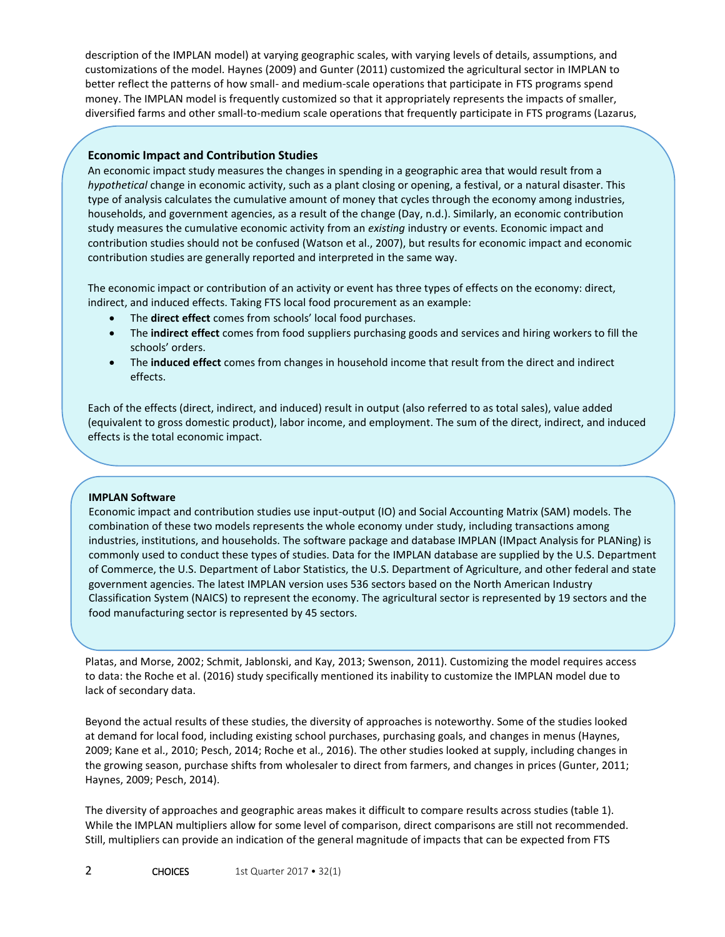description of the IMPLAN model) at varying geographic scales, with varying levels of details, assumptions, and customizations of the model. Haynes (2009) and Gunter (2011) customized the agricultural sector in IMPLAN to better reflect the patterns of how small- and medium-scale operations that participate in FTS programs spend money. The IMPLAN model is frequently customized so that it appropriately represents the impacts of smaller, diversified farms and other small-to-medium scale operations that frequently participate in FTS programs (Lazarus,

#### **Economic Impact and Contribution Studies**

An economic impact study measures the changes in spending in a geographic area that would result from a *hypothetical* change in economic activity, such as a plant closing or opening, a festival, or a natural disaster. This type of analysis calculates the cumulative amount of money that cycles through the economy among industries, households, and government agencies, as a result of the change (Day, n.d.). Similarly, an economic contribution study measures the cumulative economic activity from an *existing* industry or events. Economic impact and contribution studies should not be confused (Watson et al., 2007), but results for economic impact and economic contribution studies are generally reported and interpreted in the same way.

The economic impact or contribution of an activity or event has three types of effects on the economy: direct, indirect, and induced effects. Taking FTS local food procurement as an example:

- The **direct effect** comes from schools' local food purchases.
- The **indirect effect** comes from food suppliers purchasing goods and services and hiring workers to fill the schools' orders.
- The **induced effect** comes from changes in household income that result from the direct and indirect effects.

Each of the effects (direct, indirect, and induced) result in output (also referred to as total sales), value added (equivalent to gross domestic product), labor income, and employment. The sum of the direct, indirect, and induced effects is the total economic impact.

#### **IMPLAN Software**

Economic impact and contribution studies use input-output (IO) and Social Accounting Matrix (SAM) models. The combination of these two models represents the whole economy under study, including transactions among industries, institutions, and households. The software package and database IMPLAN (IMpact Analysis for PLANing) is commonly used to conduct these types of studies. Data for the IMPLAN database are supplied by the U.S. Department of Commerce, the U.S. Department of Labor Statistics, the U.S. Department of Agriculture, and other federal and state government agencies. The latest IMPLAN version uses 536 sectors based on the North American Industry Classification System (NAICS) to represent the economy. The agricultural sector is represented by 19 sectors and the food manufacturing sector is represented by 45 sectors.

Platas, and Morse, 2002; Schmit, Jablonski, and Kay, 2013; Swenson, 2011). Customizing the model requires access to data: the Roche et al. (2016) study specifically mentioned its inability to customize the IMPLAN model due to lack of secondary data.

Beyond the actual results of these studies, the diversity of approaches is noteworthy. Some of the studies looked at demand for local food, including existing school purchases, purchasing goals, and changes in menus (Haynes, 2009; Kane et al., 2010; Pesch, 2014; Roche et al., 2016). The other studies looked at supply, including changes in the growing season, purchase shifts from wholesaler to direct from farmers, and changes in prices (Gunter, 2011; Haynes, 2009; Pesch, 2014).

The diversity of approaches and geographic areas makes it difficult to compare results across studies (table 1). While the IMPLAN multipliers allow for some level of comparison, direct comparisons are still not recommended. Still, multipliers can provide an indication of the general magnitude of impacts that can be expected from FTS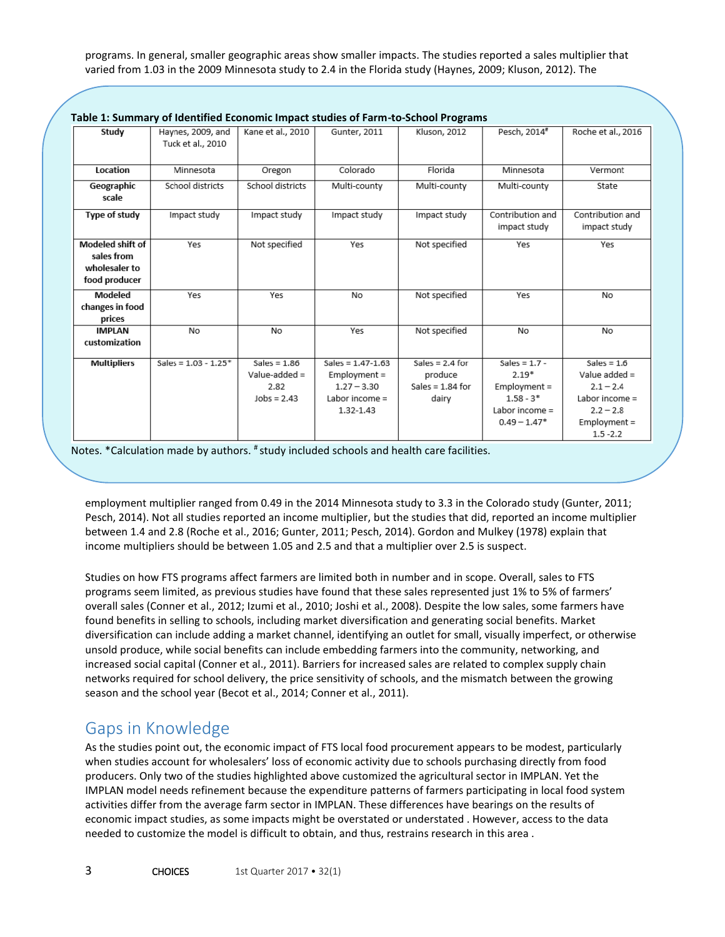programs. In general, smaller geographic areas show smaller impacts. The studies reported a sales multiplier that varied from 1.03 in the 2009 Minnesota study to 2.4 in the Florida study (Haynes, 2009; Kluson, 2012). The

| ravic 1. January or lacitulica Economic impact staates or rann-to Jenoor rograms |                                    |                   |                       |                    |                  |                    |
|----------------------------------------------------------------------------------|------------------------------------|-------------------|-----------------------|--------------------|------------------|--------------------|
| Study                                                                            | Haynes, 2009, and                  | Kane et al., 2010 | Gunter, 2011          | Kluson, 2012       | Pesch, 2014#     | Roche et al., 2016 |
|                                                                                  | Tuck et al., 2010                  |                   |                       |                    |                  |                    |
|                                                                                  |                                    |                   |                       |                    |                  |                    |
| Location                                                                         | Minnesota                          | Oregon            | Colorado              | Florida            | Minnesota        | Vermont            |
| Geographic                                                                       | School districts                   | School districts  | Multi-county          | Multi-county       | Multi-county     | State              |
| scale                                                                            |                                    |                   |                       |                    |                  |                    |
| Type of study                                                                    | Impact study                       | Impact study      | Impact study          | Impact study       | Contribution and | Contribution and   |
|                                                                                  |                                    |                   |                       |                    | impact study     | impact study       |
| Modeled shift of                                                                 | Yes                                | Not specified     | Yes                   | Not specified      | Yes              | Yes                |
| sales from                                                                       |                                    |                   |                       |                    |                  |                    |
| wholesaler to                                                                    |                                    |                   |                       |                    |                  |                    |
| food producer                                                                    |                                    |                   |                       |                    |                  |                    |
| Modeled                                                                          | Yes                                | Yes               | No                    | Not specified      | Yes              | No                 |
| changes in food                                                                  |                                    |                   |                       |                    |                  |                    |
| prices                                                                           |                                    |                   |                       |                    |                  |                    |
| <b>IMPLAN</b>                                                                    | No                                 | No                | Yes                   | Not specified      | No               | No                 |
| customization                                                                    |                                    |                   |                       |                    |                  |                    |
| <b>Multipliers</b>                                                               | Sales = $1.03 - 1.25$ <sup>*</sup> | Sales = $1.86$    | Sales = $1.47 - 1.63$ | Sales = $2.4$ for  | Sales = $1.7 -$  | Sales = $1.6$      |
|                                                                                  |                                    | Value-added =     | $Employment =$        | produce            | $2.19*$          | Value added $=$    |
|                                                                                  |                                    | 2.82              | $1.27 - 3.30$         | Sales = $1.84$ for | $Emplovement =$  | $2.1 - 2.4$        |
|                                                                                  |                                    | $Jobs = 2.43$     | Labor income $=$      | dairy              | $1.58 - 3*$      | Labor income $=$   |
|                                                                                  |                                    |                   | 1.32-1.43             |                    | Labor income $=$ | $2.2 - 2.8$        |
|                                                                                  |                                    |                   |                       |                    | $0.49 - 1.47*$   | $Employment =$     |
|                                                                                  |                                    |                   |                       |                    |                  | $1.5 - 2.2$        |

**[Table 1: Summary of Identified Economic Impact studies of Farm-to-School Programs](http://www.choicesmagazine.org/magazine/fig/Briggeman_1_full.jpg)**

Notes. \*Calculation made by authors. # study included schools and health care facilities.

employment multiplier ranged from 0.49 in the 2014 Minnesota study to 3.3 in the Colorado study (Gunter, 2011; Pesch, 2014). Not all studies reported an income multiplier, but the studies that did, reported an income multiplier between 1.4 and 2.8 (Roche et al., 2016; Gunter, 2011; Pesch, 2014). Gordon and Mulkey (1978) explain that income multipliers should be between 1.05 and 2.5 and that a multiplier over 2.5 is suspect.

Studies on how FTS programs affect farmers are limited both in number and in scope. Overall, sales to FTS programs seem limited, as previous studies have found that these sales represented just 1% to 5% of farmers' overall sales (Conner et al., 2012; Izumi et al., 2010; Joshi et al., 2008). Despite the low sales, some farmers have found benefits in selling to schools, including market diversification and generating social benefits. Market diversification can include adding a market channel, identifying an outlet for small, visually imperfect, or otherwise unsold produce, while social benefits can include embedding farmers into the community, networking, and increased social capital (Conner et al., 2011). Barriers for increased sales are related to complex supply chain networks required for school delivery, the price sensitivity of schools, and the mismatch between the growing season and the school year (Becot et al., 2014; Conner et al., 2011).

### Gaps in Knowledge

As the studies point out, the economic impact of FTS local food procurement appears to be modest, particularly when studies account for wholesalers' loss of economic activity due to schools purchasing directly from food producers. Only two of the studies highlighted above customized the agricultural sector in IMPLAN. Yet the IMPLAN model needs refinement because the expenditure patterns of farmers participating in local food system activities differ from the average farm sector in IMPLAN. These differences have bearings on the results of economic impact studies, as some impacts might be overstated or understated . However, access to the data needed to customize the model is difficult to obtain, and thus, restrains research in this area .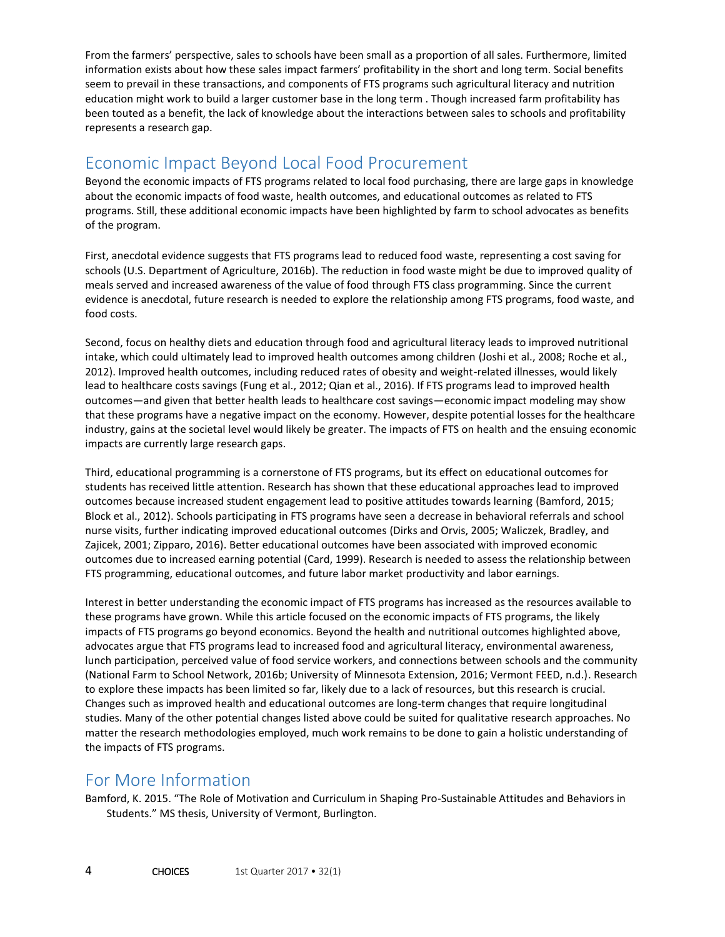From the farmers' perspective, sales to schools have been small as a proportion of all sales. Furthermore, limited information exists about how these sales impact farmers' profitability in the short and long term. Social benefits seem to prevail in these transactions, and components of FTS programs such agricultural literacy and nutrition education might work to build a larger customer base in the long term . Though increased farm profitability has been touted as a benefit, the lack of knowledge about the interactions between sales to schools and profitability represents a research gap.

## Economic Impact Beyond Local Food Procurement

Beyond the economic impacts of FTS programs related to local food purchasing, there are large gaps in knowledge about the economic impacts of food waste, health outcomes, and educational outcomes as related to FTS programs. Still, these additional economic impacts have been highlighted by farm to school advocates as benefits of the program.

First, anecdotal evidence suggests that FTS programs lead to reduced food waste, representing a cost saving for schools (U.S. Department of Agriculture, 2016b). The reduction in food waste might be due to improved quality of meals served and increased awareness of the value of food through FTS class programming. Since the current evidence is anecdotal, future research is needed to explore the relationship among FTS programs, food waste, and food costs.

Second, focus on healthy diets and education through food and agricultural literacy leads to improved nutritional intake, which could ultimately lead to improved health outcomes among children (Joshi et al., 2008; Roche et al., 2012). Improved health outcomes, including reduced rates of obesity and weight-related illnesses, would likely lead to healthcare costs savings (Fung et al., 2012; Qian et al., 2016). If FTS programs lead to improved health outcomes—and given that better health leads to healthcare cost savings—economic impact modeling may show that these programs have a negative impact on the economy. However, despite potential losses for the healthcare industry, gains at the societal level would likely be greater. The impacts of FTS on health and the ensuing economic impacts are currently large research gaps.

Third, educational programming is a cornerstone of FTS programs, but its effect on educational outcomes for students has received little attention. Research has shown that these educational approaches lead to improved outcomes because increased student engagement lead to positive attitudes towards learning (Bamford, 2015; Block et al., 2012). Schools participating in FTS programs have seen a decrease in behavioral referrals and school nurse visits, further indicating improved educational outcomes (Dirks and Orvis, 2005; Waliczek, Bradley, and Zajicek, 2001; Zipparo, 2016). Better educational outcomes have been associated with improved economic outcomes due to increased earning potential (Card, 1999). Research is needed to assess the relationship between FTS programming, educational outcomes, and future labor market productivity and labor earnings.

Interest in better understanding the economic impact of FTS programs has increased as the resources available to these programs have grown. While this article focused on the economic impacts of FTS programs, the likely impacts of FTS programs go beyond economics. Beyond the health and nutritional outcomes highlighted above, advocates argue that FTS programs lead to increased food and agricultural literacy, environmental awareness, lunch participation, perceived value of food service workers, and connections between schools and the community (National Farm to School Network, 2016b; University of Minnesota Extension, 2016; Vermont FEED, n.d.). Research to explore these impacts has been limited so far, likely due to a lack of resources, but this research is crucial. Changes such as improved health and educational outcomes are long-term changes that require longitudinal studies. Many of the other potential changes listed above could be suited for qualitative research approaches. No matter the research methodologies employed, much work remains to be done to gain a holistic understanding of the impacts of FTS programs.

## For More Information

Bamford, K. 2015. "The Role of Motivation and Curriculum in Shaping Pro-Sustainable Attitudes and Behaviors in Students." MS thesis, University of Vermont, Burlington.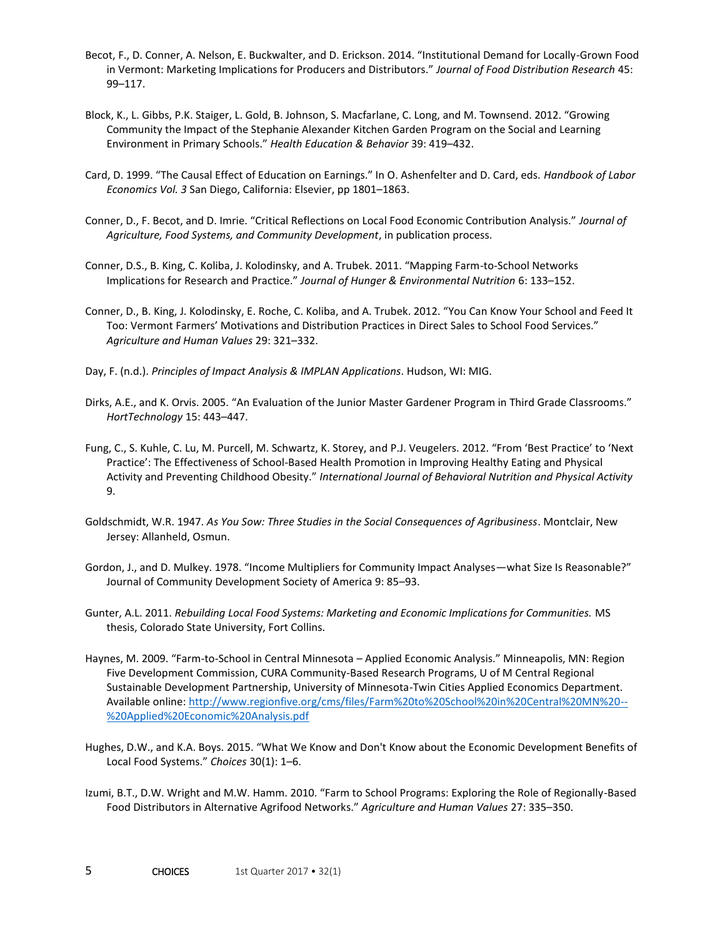- Becot, F., D. Conner, A. Nelson, E. Buckwalter, and D. Erickson. 2014. "Institutional Demand for Locally-Grown Food in Vermont: Marketing Implications for Producers and Distributors." *Journal of Food Distribution Research* 45: 99–117.
- Block, K., L. Gibbs, P.K. Staiger, L. Gold, B. Johnson, S. Macfarlane, C. Long, and M. Townsend. 2012. "Growing Community the Impact of the Stephanie Alexander Kitchen Garden Program on the Social and Learning Environment in Primary Schools." *Health Education & Behavior* 39: 419–432.
- Card, D. 1999. "The Causal Effect of Education on Earnings." In O. Ashenfelter and D. Card, eds. *Handbook of Labor Economics Vol. 3* San Diego, California: Elsevier, pp 1801–1863.
- Conner, D., F. Becot, and D. Imrie. "Critical Reflections on Local Food Economic Contribution Analysis." *Journal of Agriculture, Food Systems, and Community Development*, in publication process.
- Conner, D.S., B. King, C. Koliba, J. Kolodinsky, and A. Trubek. 2011. "Mapping Farm-to-School Networks Implications for Research and Practice." *Journal of Hunger & Environmental Nutrition* 6: 133–152.
- Conner, D., B. King, J. Kolodinsky, E. Roche, C. Koliba, and A. Trubek. 2012. "You Can Know Your School and Feed It Too: Vermont Farmers' Motivations and Distribution Practices in Direct Sales to School Food Services." *Agriculture and Human Values* 29: 321–332.
- Day, F. (n.d.). *Principles of Impact Analysis & IMPLAN Applications*. Hudson, WI: MIG.
- Dirks, A.E., and K. Orvis. 2005. "An Evaluation of the Junior Master Gardener Program in Third Grade Classrooms." *HortTechnology* 15: 443–447.
- Fung, C., S. Kuhle, C. Lu, M. Purcell, M. Schwartz, K. Storey, and P.J. Veugelers. 2012. "From 'Best Practice' to 'Next Practice': The Effectiveness of School-Based Health Promotion in Improving Healthy Eating and Physical Activity and Preventing Childhood Obesity." *International Journal of Behavioral Nutrition and Physical Activity*  9.
- Goldschmidt, W.R. 1947. *As You Sow: Three Studies in the Social Consequences of Agribusiness*. Montclair, New Jersey: Allanheld, Osmun.
- Gordon, J., and D. Mulkey. 1978. "Income Multipliers for Community Impact Analyses—what Size Is Reasonable?" Journal of Community Development Society of America 9: 85–93.
- Gunter, A.L. 2011. *Rebuilding Local Food Systems: Marketing and Economic Implications for Communities.* MS thesis, Colorado State University, Fort Collins.
- Haynes, M. 2009. "Farm-to-School in Central Minnesota Applied Economic Analysis." Minneapolis, MN: Region Five Development Commission, CURA Community-Based Research Programs, U of M Central Regional Sustainable Development Partnership, University of Minnesota-Twin Cities Applied Economics Department. Available online[: http://www.regionfive.org/cms/files/Farm%20to%20School%20in%20Central%20MN%20--](http://www.regionfive.org/cms/files/Farm%20to%20School%20in%20Central%20MN%20--%20Applied%20Economic%20Analysis.pdf) [%20Applied%20Economic%20Analysis.pdf](http://www.regionfive.org/cms/files/Farm%20to%20School%20in%20Central%20MN%20--%20Applied%20Economic%20Analysis.pdf)
- Hughes, D.W., and K.A. Boys. 2015. "What We Know and Don't Know about the Economic Development Benefits of Local Food Systems." *Choices* 30(1): 1–6.
- Izumi, B.T., D.W. Wright and M.W. Hamm. 2010. "Farm to School Programs: Exploring the Role of Regionally-Based Food Distributors in Alternative Agrifood Networks." *Agriculture and Human Values* 27: 335–350.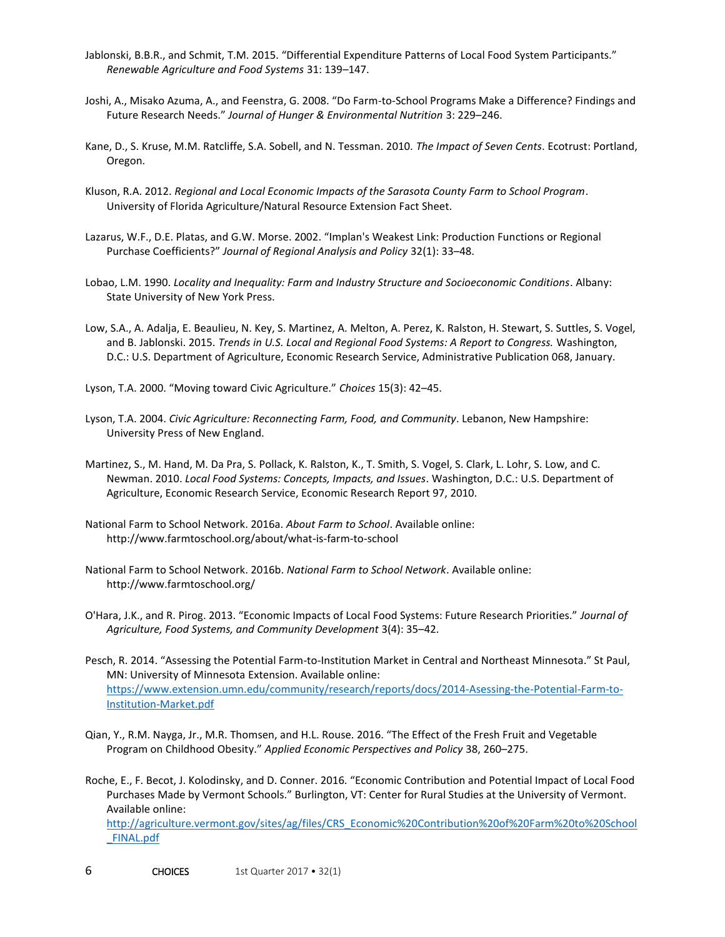- Jablonski, B.B.R., and Schmit, T.M. 2015. "Differential Expenditure Patterns of Local Food System Participants." *Renewable Agriculture and Food Systems* 31: 139–147.
- Joshi, A., Misako Azuma, A., and Feenstra, G. 2008. "Do Farm-to-School Programs Make a Difference? Findings and Future Research Needs." *Journal of Hunger & Environmental Nutrition* 3: 229–246.
- Kane, D., S. Kruse, M.M. Ratcliffe, S.A. Sobell, and N. Tessman. 2010. *The Impact of Seven Cents*. Ecotrust: Portland, Oregon.
- Kluson, R.A. 2012. *Regional and Local Economic Impacts of the Sarasota County Farm to School Program*. University of Florida Agriculture/Natural Resource Extension Fact Sheet.
- Lazarus, W.F., D.E. Platas, and G.W. Morse. 2002. "Implan's Weakest Link: Production Functions or Regional Purchase Coefficients?" *Journal of Regional Analysis and Policy* 32(1): 33–48.
- Lobao, L.M. 1990. *Locality and Inequality: Farm and Industry Structure and Socioeconomic Conditions*. Albany: State University of New York Press.
- Low, S.A., A. Adalja, E. Beaulieu, N. Key, S. Martinez, A. Melton, A. Perez, K. Ralston, H. Stewart, S. Suttles, S. Vogel, and B. Jablonski. 2015. *Trends in U.S. Local and Regional Food Systems: A Report to Congress.* Washington, D.C.: U.S. Department of Agriculture, Economic Research Service, Administrative Publication 068, January.

Lyson, T.A. 2000. "Moving toward Civic Agriculture." *Choices* 15(3): 42–45.

- Lyson, T.A. 2004. *Civic Agriculture: Reconnecting Farm, Food, and Community*. Lebanon, New Hampshire: University Press of New England.
- Martinez, S., M. Hand, M. Da Pra, S. Pollack, K. Ralston, K., T. Smith, S. Vogel, S. Clark, L. Lohr, S. Low, and C. Newman. 2010. *Local Food Systems: Concepts, Impacts, and Issues*. Washington, D.C.: U.S. Department of Agriculture, Economic Research Service, Economic Research Report 97, 2010.
- National Farm to School Network. 2016a. *About Farm to School*. Available online: http://www.farmtoschool.org/about/what-is-farm-to-school
- National Farm to School Network. 2016b. *National Farm to School Network*. Available online: http://www.farmtoschool.org/
- O'Hara, J.K., and R. Pirog. 2013. "Economic Impacts of Local Food Systems: Future Research Priorities." *Journal of Agriculture, Food Systems, and Community Development* 3(4): 35–42.
- Pesch, R. 2014. "Assessing the Potential Farm-to-Institution Market in Central and Northeast Minnesota." St Paul, MN: University of Minnesota Extension. Available online: [https://www.extension.umn.edu/community/research/reports/docs/2014-Asessing-the-Potential-Farm-to-](https://www.extension.umn.edu/community/research/reports/docs/2014-Asessing-the-Potential-Farm-to-Institution-Market.pdf)[Institution-Market.pdf](https://www.extension.umn.edu/community/research/reports/docs/2014-Asessing-the-Potential-Farm-to-Institution-Market.pdf)
- Qian, Y., R.M. Nayga, Jr., M.R. Thomsen, and H.L. Rouse. 2016. "The Effect of the Fresh Fruit and Vegetable Program on Childhood Obesity." *Applied Economic Perspectives and Policy* 38, 260–275.
- Roche, E., F. Becot, J. Kolodinsky, and D. Conner. 2016. "Economic Contribution and Potential Impact of Local Food Purchases Made by Vermont Schools." Burlington, VT: Center for Rural Studies at the University of Vermont. Available online:

[http://agriculture.vermont.gov/sites/ag/files/CRS\\_Economic%20Contribution%20of%20Farm%20to%20School](http://agriculture.vermont.gov/sites/ag/files/CRS_Economic%20Contribution%20of%20Farm%20to%20School_FINAL.pdf) [\\_FINAL.pdf](http://agriculture.vermont.gov/sites/ag/files/CRS_Economic%20Contribution%20of%20Farm%20to%20School_FINAL.pdf)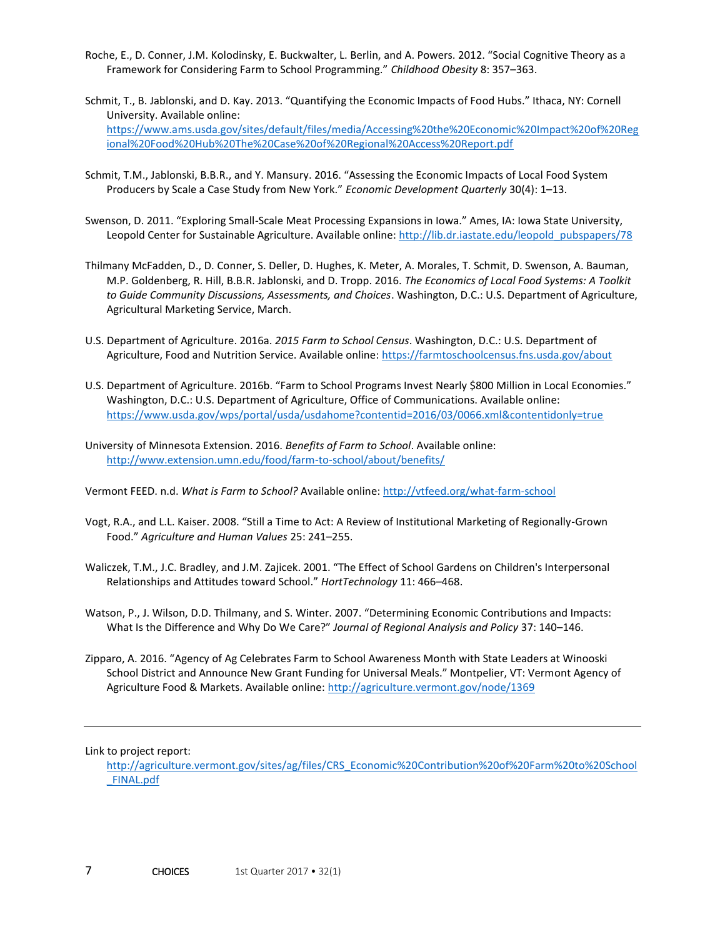- Roche, E., D. Conner, J.M. Kolodinsky, E. Buckwalter, L. Berlin, and A. Powers. 2012. "Social Cognitive Theory as a Framework for Considering Farm to School Programming." *Childhood Obesity* 8: 357–363.
- Schmit, T., B. Jablonski, and D. Kay. 2013. "Quantifying the Economic Impacts of Food Hubs." Ithaca, NY: Cornell University. Available online: [https://www.ams.usda.gov/sites/default/files/media/Accessing%20the%20Economic%20Impact%20of%20Reg](https://www.ams.usda.gov/sites/default/files/media/Accessing%20the%20Economic%20Impact%20of%20Regional%20Food%20Hub%20The%20Case%20of%20Regional%20Access%20Report.pdf) [ional%20Food%20Hub%20The%20Case%20of%20Regional%20Access%20Report.pdf](https://www.ams.usda.gov/sites/default/files/media/Accessing%20the%20Economic%20Impact%20of%20Regional%20Food%20Hub%20The%20Case%20of%20Regional%20Access%20Report.pdf)
- Schmit, T.M., Jablonski, B.B.R., and Y. Mansury. 2016. "Assessing the Economic Impacts of Local Food System Producers by Scale a Case Study from New York." *Economic Development Quarterly* 30(4): 1–13.
- Swenson, D. 2011. "Exploring Small-Scale Meat Processing Expansions in Iowa." Ames, IA: Iowa State University, Leopold Center for Sustainable Agriculture. Available online: [http://lib.dr.iastate.edu/leopold\\_pubspapers/78](http://lib.dr.iastate.edu/leopold_pubspapers/78)
- Thilmany McFadden, D., D. Conner, S. Deller, D. Hughes, K. Meter, A. Morales, T. Schmit, D. Swenson, A. Bauman, M.P. Goldenberg, R. Hill, B.B.R. Jablonski, and D. Tropp. 2016. *The Economics of Local Food Systems: A Toolkit to Guide Community Discussions, Assessments, and Choices*. Washington, D.C.: U.S. Department of Agriculture, Agricultural Marketing Service, March.
- U.S. Department of Agriculture. 2016a. *2015 Farm to School Census*. Washington, D.C.: U.S. Department of Agriculture, Food and Nutrition Service. Available online:<https://farmtoschoolcensus.fns.usda.gov/about>
- U.S. Department of Agriculture. 2016b. "Farm to School Programs Invest Nearly \$800 Million in Local Economies." Washington, D.C.: U.S. Department of Agriculture, Office of Communications. Available online: <https://www.usda.gov/wps/portal/usda/usdahome?contentid=2016/03/0066.xml&contentidonly=true>
- University of Minnesota Extension. 2016. *Benefits of Farm to School*. Available online: <http://www.extension.umn.edu/food/farm-to-school/about/benefits/>

Vermont FEED. n.d. *What is Farm to School?* Available online[: http://vtfeed.org/what-farm-school](http://vtfeed.org/what-farm-school)

- Vogt, R.A., and L.L. Kaiser. 2008. "Still a Time to Act: A Review of Institutional Marketing of Regionally-Grown Food." *Agriculture and Human Values* 25: 241–255.
- Waliczek, T.M., J.C. Bradley, and J.M. Zajicek. 2001. "The Effect of School Gardens on Children's Interpersonal Relationships and Attitudes toward School." *HortTechnology* 11: 466–468.
- Watson, P., J. Wilson, D.D. Thilmany, and S. Winter. 2007. "Determining Economic Contributions and Impacts: What Is the Difference and Why Do We Care?" *Journal of Regional Analysis and Policy* 37: 140–146.
- Zipparo, A. 2016. "Agency of Ag Celebrates Farm to School Awareness Month with State Leaders at Winooski School District and Announce New Grant Funding for Universal Meals." Montpelier, VT: Vermont Agency of Agriculture Food & Markets. Available online:<http://agriculture.vermont.gov/node/1369>

Link to project report:

[http://agriculture.vermont.gov/sites/ag/files/CRS\\_Economic%20Contribution%20of%20Farm%20to%20School](http://agriculture.vermont.gov/sites/ag/files/CRS_Economic%20Contribution%20of%20Farm%20to%20School_FINAL.pdf) [\\_FINAL.pdf](http://agriculture.vermont.gov/sites/ag/files/CRS_Economic%20Contribution%20of%20Farm%20to%20School_FINAL.pdf)